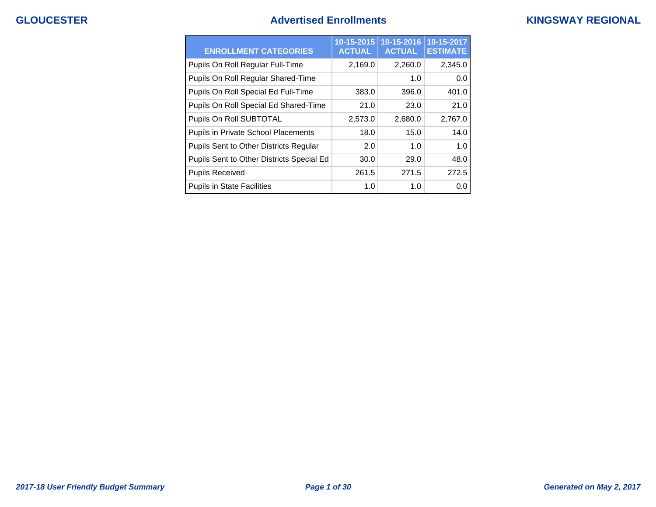## **GLOUCESTER Advertised Enrollments KINGSWAY REGIONAL**

| <b>ENROLLMENT CATEGORIES</b>              | 10-15-2015<br><b>ACTUAL</b> | 10-15-2016<br><b>ACTUAL</b> | 10-15-2017<br><b>ESTIMATE</b> |
|-------------------------------------------|-----------------------------|-----------------------------|-------------------------------|
| Pupils On Roll Regular Full-Time          | 2,169.0                     | 2,260.0                     | 2,345.0                       |
| Pupils On Roll Regular Shared-Time        |                             | 1.0                         | 0.0                           |
| Pupils On Roll Special Ed Full-Time       | 383.0                       | 396.0                       | 401.0                         |
| Pupils On Roll Special Ed Shared-Time     | 21.0                        | 23.0                        | 21.0                          |
| Pupils On Roll SUBTOTAL                   | 2,573.0                     | 2,680.0                     | 2,767.0                       |
| Pupils in Private School Placements       | 18.0                        | 15.0                        | 14.0                          |
| Pupils Sent to Other Districts Regular    | 2.0                         | 1. $\Omega$                 | 1.0                           |
| Pupils Sent to Other Districts Special Ed | 30.0                        | 29.0                        | 48.0                          |
| <b>Pupils Received</b>                    | 261.5                       | 271.5                       | 272.5                         |
| <b>Pupils in State Facilities</b>         | 1.0                         | 1.0                         | 0.0                           |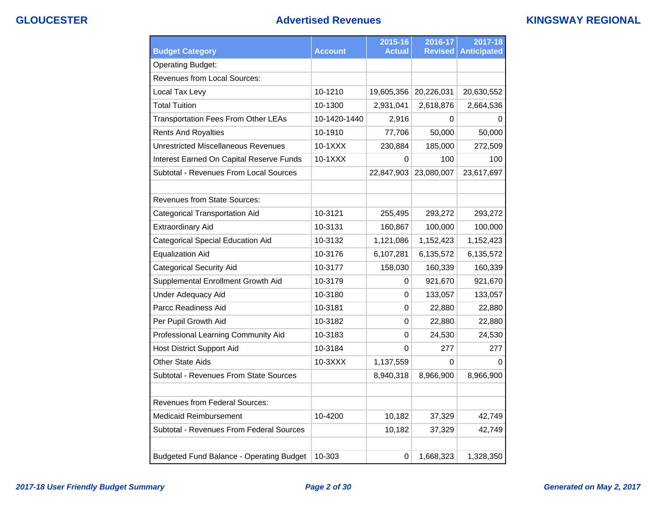## **GLOUCESTER Advertised Revenues KINGSWAY REGIONAL**

| <b>Budget Category</b>                          | <b>Account</b> | 2015-16<br><b>Actual</b> | 2016-17<br><b>Revised</b> | 2017-18<br><b>Anticipated</b> |
|-------------------------------------------------|----------------|--------------------------|---------------------------|-------------------------------|
| <b>Operating Budget:</b>                        |                |                          |                           |                               |
| Revenues from Local Sources:                    |                |                          |                           |                               |
| Local Tax Levy                                  | 10-1210        | 19,605,356               | 20,226,031                | 20,630,552                    |
| <b>Total Tuition</b>                            | 10-1300        | 2,931,041                | 2,618,876                 | 2,664,536                     |
| <b>Transportation Fees From Other LEAs</b>      | 10-1420-1440   | 2,916                    | 0                         | 0                             |
| <b>Rents And Royalties</b>                      | 10-1910        | 77,706                   | 50,000                    | 50,000                        |
| <b>Unrestricted Miscellaneous Revenues</b>      | $10-1XXX$      | 230,884                  | 185,000                   | 272,509                       |
| Interest Earned On Capital Reserve Funds        | 10-1XXX        | 0                        | 100                       | 100                           |
| Subtotal - Revenues From Local Sources          |                | 22,847,903               | 23,080,007                | 23,617,697                    |
|                                                 |                |                          |                           |                               |
| <b>Revenues from State Sources:</b>             |                |                          |                           |                               |
| <b>Categorical Transportation Aid</b>           | 10-3121        | 255,495                  | 293,272                   | 293,272                       |
| <b>Extraordinary Aid</b>                        | 10-3131        | 160,867                  | 100,000                   | 100,000                       |
| <b>Categorical Special Education Aid</b>        | 10-3132        | 1,121,086                | 1,152,423                 | 1,152,423                     |
| <b>Equalization Aid</b>                         | 10-3176        | 6,107,281                | 6,135,572                 | 6,135,572                     |
| <b>Categorical Security Aid</b>                 | 10-3177        | 158,030                  | 160,339                   | 160,339                       |
| Supplemental Enrollment Growth Aid              | 10-3179        | 0                        | 921,670                   | 921,670                       |
| <b>Under Adequacy Aid</b>                       | 10-3180        | 0                        | 133,057                   | 133,057                       |
| Parcc Readiness Aid                             | 10-3181        | 0                        | 22,880                    | 22,880                        |
| Per Pupil Growth Aid                            | 10-3182        | 0                        | 22,880                    | 22,880                        |
| Professional Learning Community Aid             | 10-3183        | $\Omega$                 | 24,530                    | 24,530                        |
| <b>Host District Support Aid</b>                | 10-3184        | 0                        | 277                       | 277                           |
| <b>Other State Aids</b>                         | 10-3XXX        | 1,137,559                | 0                         | O                             |
| Subtotal - Revenues From State Sources          |                | 8,940,318                | 8,966,900                 | 8,966,900                     |
| Revenues from Federal Sources:                  |                |                          |                           |                               |
| <b>Medicaid Reimbursement</b>                   | 10-4200        | 10,182                   | 37,329                    | 42,749                        |
| Subtotal - Revenues From Federal Sources        |                | 10,182                   | 37,329                    | 42,749                        |
|                                                 |                |                          |                           |                               |
| <b>Budgeted Fund Balance - Operating Budget</b> | 10-303         | 0                        | 1,668,323                 | 1,328,350                     |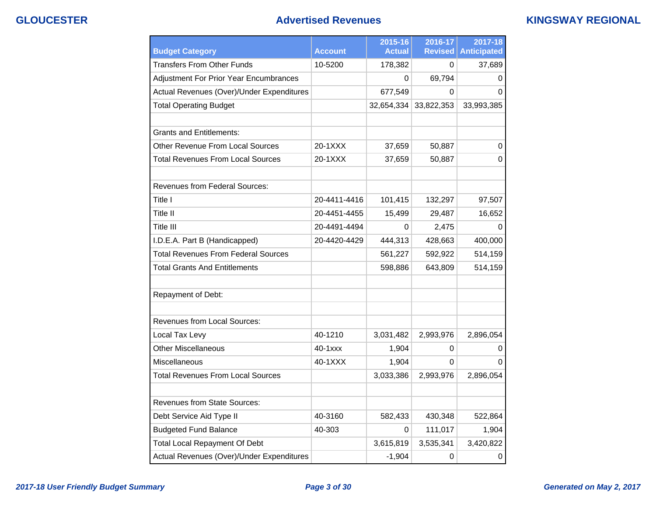## **GLOUCESTER Advertised Revenues KINGSWAY REGIONAL**

| <b>Budget Category</b>                     | Account      | 2015-16<br><b>Actual</b> | 2016-17<br><b>Revised</b> | 2017-18<br><b>Anticipated</b> |
|--------------------------------------------|--------------|--------------------------|---------------------------|-------------------------------|
| <b>Transfers From Other Funds</b>          | 10-5200      | 178,382                  | 0                         | 37,689                        |
| Adjustment For Prior Year Encumbrances     |              | $\Omega$                 | 69,794                    | 0                             |
| Actual Revenues (Over)/Under Expenditures  |              | 677,549                  | 0                         | 0                             |
| <b>Total Operating Budget</b>              |              | 32,654,334               | 33,822,353                | 33,993,385                    |
|                                            |              |                          |                           |                               |
| Grants and Entitlements:                   |              |                          |                           |                               |
| <b>Other Revenue From Local Sources</b>    | 20-1XXX      | 37,659                   | 50,887                    | 0                             |
| <b>Total Revenues From Local Sources</b>   | 20-1XXX      | 37,659                   | 50,887                    | $\Omega$                      |
|                                            |              |                          |                           |                               |
| <b>Revenues from Federal Sources:</b>      |              |                          |                           |                               |
| Title I                                    | 20-4411-4416 | 101,415                  | 132,297                   | 97,507                        |
| Title II                                   | 20-4451-4455 | 15,499                   | 29,487                    | 16,652                        |
| Title III                                  | 20-4491-4494 | 0                        | 2,475                     | 0                             |
| I.D.E.A. Part B (Handicapped)              | 20-4420-4429 | 444,313                  | 428,663                   | 400,000                       |
| <b>Total Revenues From Federal Sources</b> |              | 561,227                  | 592,922                   | 514,159                       |
| <b>Total Grants And Entitlements</b>       |              | 598,886                  | 643,809                   | 514,159                       |
|                                            |              |                          |                           |                               |
| Repayment of Debt:                         |              |                          |                           |                               |
|                                            |              |                          |                           |                               |
| <b>Revenues from Local Sources:</b>        |              |                          |                           |                               |
| Local Tax Levy                             | 40-1210      | 3,031,482                | 2,993,976                 | 2,896,054                     |
| <b>Other Miscellaneous</b>                 | 40-1xxx      | 1,904                    | 0                         | 0                             |
| Miscellaneous                              | 40-1XXX      | 1,904                    | 0                         | 0                             |
| <b>Total Revenues From Local Sources</b>   |              | 3,033,386                | 2,993,976                 | 2,896,054                     |
|                                            |              |                          |                           |                               |
| <b>Revenues from State Sources:</b>        |              |                          |                           |                               |
| Debt Service Aid Type II                   | 40-3160      | 582,433                  | 430,348                   | 522,864                       |
| <b>Budgeted Fund Balance</b>               | 40-303       | 0                        | 111,017                   | 1,904                         |
| <b>Total Local Repayment Of Debt</b>       |              | 3,615,819                | 3,535,341                 | 3,420,822                     |
| Actual Revenues (Over)/Under Expenditures  |              | $-1,904$                 | 0                         | $\boldsymbol{0}$              |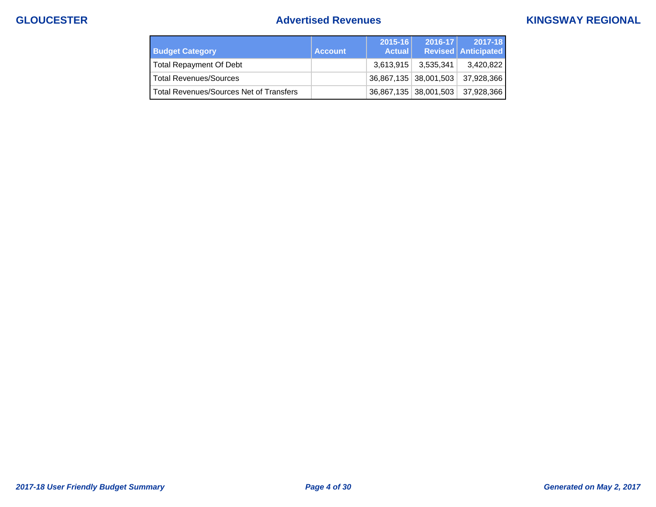## **GLOUCESTER Advertised Revenues KINGSWAY REGIONAL**

| <b>Budget Category</b>                  | <b>Account</b> | 2015-16   <br><b>Actual</b>                   | $2016 - 17$           | 2017-18<br><b>Revised Anticipated</b> |
|-----------------------------------------|----------------|-----------------------------------------------|-----------------------|---------------------------------------|
| <b>Total Repayment Of Debt</b>          |                | 3.613.915                                     | 3,535,341             | 3,420,822                             |
| <b>Total Revenues/Sources</b>           |                | $\vert$ 36,867,135 $\vert$ 38,001,503 $\vert$ |                       | 37,928,366                            |
| Total Revenues/Sources Net of Transfers |                |                                               | 36,867,135 38,001,503 | 37,928,366                            |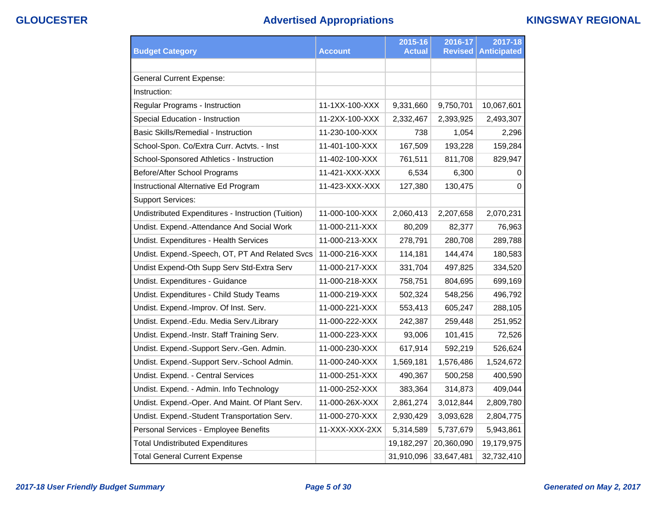# **GLOUCESTER Advertised Appropriations KINGSWAY REGIONAL**

|                                                    |                | 2015-16       | 2016-17        | 2017-18            |
|----------------------------------------------------|----------------|---------------|----------------|--------------------|
| <b>Budget Category</b>                             | <b>Account</b> | <b>Actual</b> | <b>Revised</b> | <b>Anticipated</b> |
|                                                    |                |               |                |                    |
| <b>General Current Expense:</b>                    |                |               |                |                    |
| Instruction:                                       |                |               |                |                    |
| Regular Programs - Instruction                     | 11-1XX-100-XXX | 9,331,660     | 9,750,701      | 10,067,601         |
| Special Education - Instruction                    | 11-2XX-100-XXX | 2,332,467     | 2,393,925      | 2,493,307          |
| Basic Skills/Remedial - Instruction                | 11-230-100-XXX | 738           | 1,054          | 2,296              |
| School-Spon. Co/Extra Curr. Actvts. - Inst         | 11-401-100-XXX | 167,509       | 193,228        | 159,284            |
| School-Sponsored Athletics - Instruction           | 11-402-100-XXX | 761,511       | 811,708        | 829,947            |
| Before/After School Programs                       | 11-421-XXX-XXX | 6,534         | 6,300          | 0                  |
| Instructional Alternative Ed Program               | 11-423-XXX-XXX | 127,380       | 130,475        | $\Omega$           |
| <b>Support Services:</b>                           |                |               |                |                    |
| Undistributed Expenditures - Instruction (Tuition) | 11-000-100-XXX | 2,060,413     | 2,207,658      | 2,070,231          |
| Undist. Expend.-Attendance And Social Work         | 11-000-211-XXX | 80,209        | 82,377         | 76,963             |
| Undist. Expenditures - Health Services             | 11-000-213-XXX | 278,791       | 280,708        | 289,788            |
| Undist. Expend.-Speech, OT, PT And Related Svcs    | 11-000-216-XXX | 114,181       | 144,474        | 180,583            |
| Undist Expend-Oth Supp Serv Std-Extra Serv         | 11-000-217-XXX | 331,704       | 497,825        | 334,520            |
| Undist. Expenditures - Guidance                    | 11-000-218-XXX | 758,751       | 804,695        | 699,169            |
| Undist. Expenditures - Child Study Teams           | 11-000-219-XXX | 502,324       | 548,256        | 496,792            |
| Undist. Expend.-Improv. Of Inst. Serv.             | 11-000-221-XXX | 553,413       | 605,247        | 288,105            |
| Undist. Expend.-Edu. Media Serv./Library           | 11-000-222-XXX | 242,387       | 259,448        | 251,952            |
| Undist. Expend.-Instr. Staff Training Serv.        | 11-000-223-XXX | 93,006        | 101,415        | 72,526             |
| Undist. Expend.-Support Serv.-Gen. Admin.          | 11-000-230-XXX | 617,914       | 592,219        | 526,624            |
| Undist. Expend.-Support Serv.-School Admin.        | 11-000-240-XXX | 1,569,181     | 1,576,486      | 1,524,672          |
| Undist. Expend. - Central Services                 | 11-000-251-XXX | 490,367       | 500,258        | 400,590            |
| Undist. Expend. - Admin. Info Technology           | 11-000-252-XXX | 383,364       | 314,873        | 409,044            |
| Undist. Expend.-Oper. And Maint. Of Plant Serv.    | 11-000-26X-XXX | 2,861,274     | 3,012,844      | 2,809,780          |
| Undist. Expend.-Student Transportation Serv.       | 11-000-270-XXX | 2,930,429     | 3,093,628      | 2,804,775          |
| Personal Services - Employee Benefits              | 11-XXX-XXX-2XX | 5,314,589     | 5,737,679      | 5,943,861          |
| <b>Total Undistributed Expenditures</b>            |                | 19,182,297    | 20,360,090     | 19,179,975         |
| <b>Total General Current Expense</b>               |                | 31,910,096    | 33,647,481     | 32,732,410         |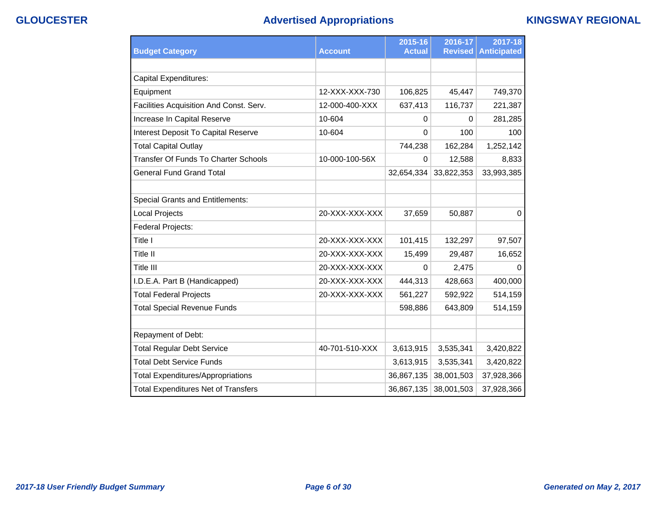## **GLOUCESTER Advertised Appropriations KINGSWAY REGIONAL**

|                                             |                | 2015-16       | 2016-17        | 2017-18            |
|---------------------------------------------|----------------|---------------|----------------|--------------------|
| <b>Budget Category</b>                      | <b>Account</b> | <b>Actual</b> | <b>Revised</b> | <b>Anticipated</b> |
|                                             |                |               |                |                    |
| <b>Capital Expenditures:</b>                |                |               |                |                    |
| Equipment                                   | 12-XXX-XXX-730 | 106,825       | 45,447         | 749,370            |
| Facilities Acquisition And Const. Serv.     | 12-000-400-XXX | 637,413       | 116,737        | 221,387            |
| Increase In Capital Reserve                 | 10-604         | 0             | 0              | 281,285            |
| Interest Deposit To Capital Reserve         | 10-604         | 0             | 100            | 100                |
| <b>Total Capital Outlay</b>                 |                | 744,238       | 162,284        | 1,252,142          |
| <b>Transfer Of Funds To Charter Schools</b> | 10-000-100-56X | 0             | 12,588         | 8,833              |
| <b>General Fund Grand Total</b>             |                | 32,654,334    | 33,822,353     | 33,993,385         |
|                                             |                |               |                |                    |
| <b>Special Grants and Entitlements:</b>     |                |               |                |                    |
| <b>Local Projects</b>                       | 20-XXX-XXX-XXX | 37,659        | 50,887         | 0                  |
| Federal Projects:                           |                |               |                |                    |
| Title I                                     | 20-XXX-XXX-XXX | 101,415       | 132,297        | 97,507             |
| <b>Title II</b>                             | 20-XXX-XXX-XXX | 15,499        | 29,487         | 16,652             |
| Title III                                   | 20-XXX-XXX-XXX | 0             | 2,475          | 0                  |
| I.D.E.A. Part B (Handicapped)               | 20-XXX-XXX-XXX | 444,313       | 428,663        | 400,000            |
| <b>Total Federal Projects</b>               | 20-XXX-XXX-XXX | 561,227       | 592,922        | 514,159            |
| <b>Total Special Revenue Funds</b>          |                | 598,886       | 643,809        | 514,159            |
|                                             |                |               |                |                    |
| Repayment of Debt:                          |                |               |                |                    |
| <b>Total Regular Debt Service</b>           | 40-701-510-XXX | 3,613,915     | 3,535,341      | 3,420,822          |
| <b>Total Debt Service Funds</b>             |                | 3,613,915     | 3,535,341      | 3,420,822          |
| <b>Total Expenditures/Appropriations</b>    |                | 36,867,135    | 38,001,503     | 37,928,366         |
| <b>Total Expenditures Net of Transfers</b>  |                | 36,867,135    | 38,001,503     | 37,928,366         |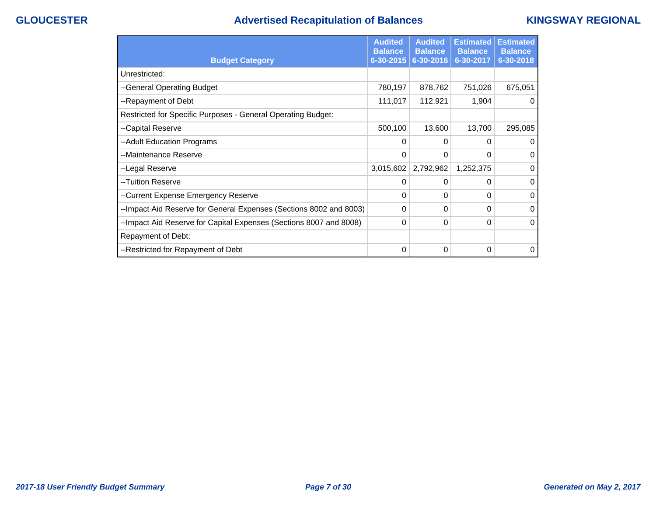# **GLOUCESTER Advertised Recapitulation of Balances KINGSWAY REGIONAL**

|                                                                    | <b>Audited</b><br><b>Balance</b> | <b>Audited</b><br><b>Balance</b> | <b>Estimated</b><br><b>Balance</b> | <b>Estimated</b><br><b>Balance</b> |
|--------------------------------------------------------------------|----------------------------------|----------------------------------|------------------------------------|------------------------------------|
| <b>Budget Category</b>                                             | 6-30-2015                        | 6-30-2016                        | 6-30-2017                          | 6-30-2018                          |
| Unrestricted:                                                      |                                  |                                  |                                    |                                    |
| --General Operating Budget                                         | 780,197                          | 878,762                          | 751,026                            | 675,051                            |
| --Repayment of Debt                                                | 111,017                          | 112,921                          | 1,904                              | 0                                  |
| Restricted for Specific Purposes - General Operating Budget:       |                                  |                                  |                                    |                                    |
| --Capital Reserve                                                  | 500,100                          | 13,600                           | 13,700                             | 295,085                            |
| --Adult Education Programs                                         | 0                                | 0                                | 0                                  | $\mathbf 0$                        |
| --Maintenance Reserve                                              | $\Omega$                         | 0                                | $\Omega$                           | $\Omega$                           |
| --Legal Reserve                                                    | 3,015,602                        | 2,792,962                        | 1,252,375                          | $\Omega$                           |
| --Tuition Reserve                                                  | 0                                | 0                                | $\Omega$                           | $\Omega$                           |
| --Current Expense Emergency Reserve                                | $\Omega$                         | 0                                | 0                                  | $\Omega$                           |
| --Impact Aid Reserve for General Expenses (Sections 8002 and 8003) | 0                                | 0                                | 0                                  | $\Omega$                           |
| --Impact Aid Reserve for Capital Expenses (Sections 8007 and 8008) | $\Omega$                         | 0                                | 0                                  | $\Omega$                           |
| Repayment of Debt:                                                 |                                  |                                  |                                    |                                    |
| --Restricted for Repayment of Debt                                 | 0                                | 0                                | 0                                  | $\Omega$                           |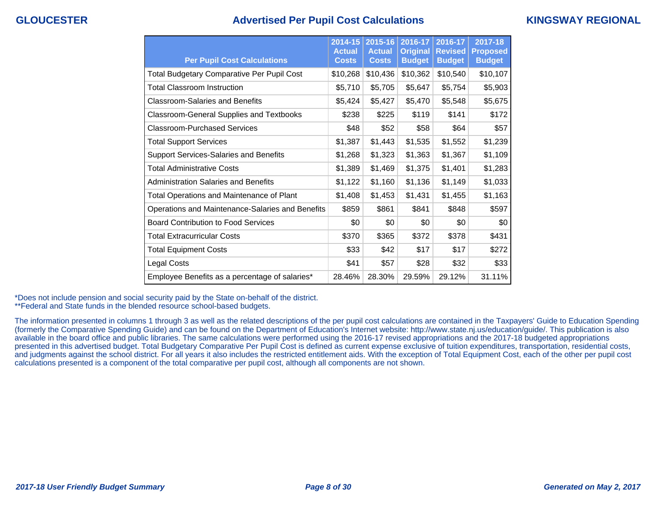## **GLOUCESTER Advertised Per Pupil Cost Calculations KINGSWAY REGIONAL**

| <b>Per Pupil Cost Calculations</b>                | 2014-15<br><b>Actual</b><br><b>Costs</b> | 2015-16<br><b>Actual</b><br><b>Costs</b> | 2016-17<br><b>Original</b><br><b>Budget</b> | 2016-17<br><b>Revised</b><br><b>Budget</b> | 2017-18<br><b>Proposed</b><br><b>Budget</b> |
|---------------------------------------------------|------------------------------------------|------------------------------------------|---------------------------------------------|--------------------------------------------|---------------------------------------------|
| <b>Total Budgetary Comparative Per Pupil Cost</b> | \$10,268                                 | \$10,436                                 | \$10,362                                    | \$10,540                                   | \$10,107                                    |
| <b>Total Classroom Instruction</b>                | \$5,710                                  | \$5,705                                  | \$5,647                                     | \$5,754                                    | \$5,903                                     |
| <b>Classroom-Salaries and Benefits</b>            | \$5,424                                  | \$5,427                                  | \$5,470                                     | \$5,548                                    | \$5,675                                     |
| <b>Classroom-General Supplies and Textbooks</b>   | \$238                                    | \$225                                    | \$119                                       | \$141                                      | \$172                                       |
| Classroom-Purchased Services                      | \$48                                     | \$52                                     | \$58                                        | \$64                                       | \$57                                        |
| <b>Total Support Services</b>                     | \$1,387                                  | \$1,443                                  | \$1,535                                     | \$1,552                                    | \$1,239                                     |
| <b>Support Services-Salaries and Benefits</b>     | \$1,268                                  | \$1,323                                  | \$1,363                                     | \$1,367                                    | \$1,109                                     |
| <b>Total Administrative Costs</b>                 | \$1,389                                  | \$1,469                                  | \$1,375                                     | \$1,401                                    | \$1,283                                     |
| <b>Administration Salaries and Benefits</b>       | \$1,122                                  | \$1,160                                  | \$1,136                                     | \$1,149                                    | \$1,033                                     |
| Total Operations and Maintenance of Plant         | \$1,408                                  | \$1,453                                  | \$1,431                                     | \$1,455                                    | \$1,163                                     |
| Operations and Maintenance-Salaries and Benefits  | \$859                                    | \$861                                    | \$841                                       | \$848                                      | \$597                                       |
| <b>Board Contribution to Food Services</b>        | \$0                                      | \$0                                      | \$0                                         | \$0                                        | \$0                                         |
| <b>Total Extracurricular Costs</b>                | \$370                                    | \$365                                    | \$372                                       | \$378                                      | \$431                                       |
| <b>Total Equipment Costs</b>                      | \$33                                     | \$42                                     | \$17                                        | \$17                                       | \$272                                       |
| Legal Costs                                       | \$41                                     | \$57                                     | \$28                                        | \$32                                       | \$33                                        |
| Employee Benefits as a percentage of salaries*    | 28.46%                                   | 28.30%                                   | 29.59%                                      | 29.12%                                     | 31.11%                                      |

\*Does not include pension and social security paid by the State on-behalf of the district.

\*\*Federal and State funds in the blended resource school-based budgets.

The information presented in columns 1 through 3 as well as the related descriptions of the per pupil cost calculations are contained in the Taxpayers' Guide to Education Spending (formerly the Comparative Spending Guide) and can be found on the Department of Education's Internet website: http://www.state.nj.us/education/guide/. This publication is also available in the board office and public libraries. The same calculations were performed using the 2016-17 revised appropriations and the 2017-18 budgeted appropriations presented in this advertised budget. Total Budgetary Comparative Per Pupil Cost is defined as current expense exclusive of tuition expenditures, transportation, residential costs, and judgments against the school district. For all years it also includes the restricted entitlement aids. With the exception of Total Equipment Cost, each of the other per pupil cost calculations presented is a component of the total comparative per pupil cost, although all components are not shown.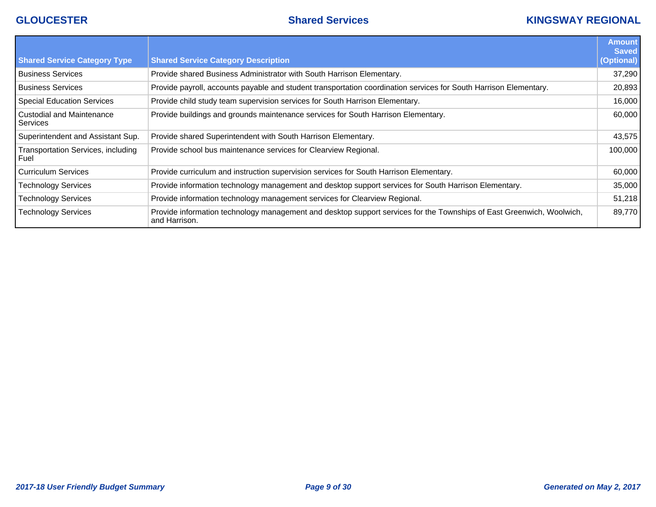## **GLOUCESTER Shared Services KINGSWAY REGIONAL**

|                                            |                                                                                                                                        | <b>Amount</b><br><b>Saved</b> |
|--------------------------------------------|----------------------------------------------------------------------------------------------------------------------------------------|-------------------------------|
| <b>Shared Service Category Type</b>        | <b>Shared Service Category Description</b>                                                                                             | (Optional)                    |
| l Business Services                        | Provide shared Business Administrator with South Harrison Elementary.                                                                  | 37,290                        |
| <b>Business Services</b>                   | Provide payroll, accounts payable and student transportation coordination services for South Harrison Elementary.                      | 20,893                        |
| Special Education Services                 | Provide child study team supervision services for South Harrison Elementary.                                                           | 16,000                        |
| l Custodial and Maintenance<br>Services    | Provide buildings and grounds maintenance services for South Harrison Elementary.                                                      | 60,000                        |
| Superintendent and Assistant Sup.          | Provide shared Superintendent with South Harrison Elementary.                                                                          | 43,575                        |
| Transportation Services, including<br>Fuel | Provide school bus maintenance services for Clearview Regional.                                                                        | 100,000                       |
| l Curriculum Services                      | Provide curriculum and instruction supervision services for South Harrison Elementary.                                                 | 60,000                        |
| <b>Technology Services</b>                 | Provide information technology management and desktop support services for South Harrison Elementary.                                  | 35,000                        |
| <b>Technology Services</b>                 | Provide information technology management services for Clearview Regional.                                                             | 51,218                        |
| <b>Technology Services</b>                 | Provide information technology management and desktop support services for the Townships of East Greenwich, Woolwich,<br>and Harrison. | 89,770                        |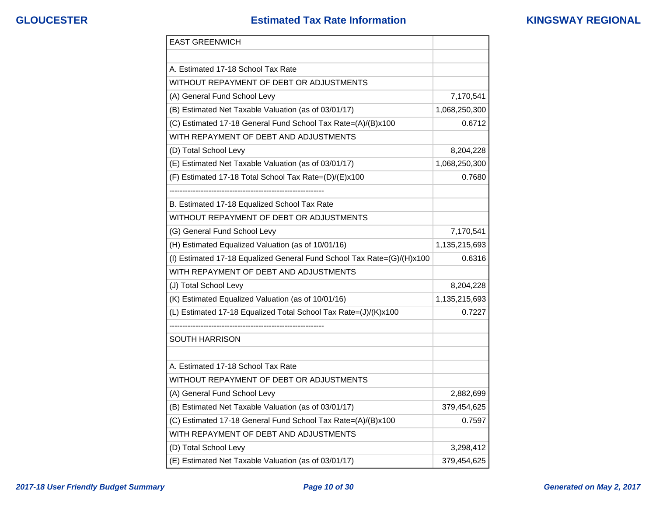## **GLOUCESTER Estimated Tax Rate Information KINGSWAY REGIONAL**

| <b>EAST GREENWICH</b>                                                  |               |
|------------------------------------------------------------------------|---------------|
|                                                                        |               |
| A. Estimated 17-18 School Tax Rate                                     |               |
| WITHOUT REPAYMENT OF DEBT OR ADJUSTMENTS                               |               |
| (A) General Fund School Levy                                           | 7,170,541     |
| (B) Estimated Net Taxable Valuation (as of 03/01/17)                   | 1,068,250,300 |
| (C) Estimated 17-18 General Fund School Tax Rate=(A)/(B)x100           | 0.6712        |
| WITH REPAYMENT OF DEBT AND ADJUSTMENTS                                 |               |
| (D) Total School Levy                                                  | 8,204,228     |
| (E) Estimated Net Taxable Valuation (as of 03/01/17)                   | 1,068,250,300 |
| (F) Estimated 17-18 Total School Tax Rate=(D)/(E)x100                  | 0.7680        |
|                                                                        |               |
| B. Estimated 17-18 Equalized School Tax Rate                           |               |
| WITHOUT REPAYMENT OF DEBT OR ADJUSTMENTS                               |               |
| (G) General Fund School Levy                                           | 7,170,541     |
| (H) Estimated Equalized Valuation (as of 10/01/16)                     | 1,135,215,693 |
| (I) Estimated 17-18 Equalized General Fund School Tax Rate=(G)/(H)x100 | 0.6316        |
| WITH REPAYMENT OF DEBT AND ADJUSTMENTS                                 |               |
| (J) Total School Levy                                                  | 8,204,228     |
| (K) Estimated Equalized Valuation (as of 10/01/16)                     | 1,135,215,693 |
| (L) Estimated 17-18 Equalized Total School Tax Rate=(J)/(K)x100        | 0.7227        |
|                                                                        |               |
| SOUTH HARRISON                                                         |               |
|                                                                        |               |
| A. Estimated 17-18 School Tax Rate                                     |               |
| WITHOUT REPAYMENT OF DEBT OR ADJUSTMENTS                               |               |
| (A) General Fund School Levy                                           | 2,882,699     |
| (B) Estimated Net Taxable Valuation (as of 03/01/17)                   | 379,454,625   |
| (C) Estimated 17-18 General Fund School Tax Rate=(A)/(B)x100           | 0.7597        |
| WITH REPAYMENT OF DEBT AND ADJUSTMENTS                                 |               |
| (D) Total School Levy                                                  | 3,298,412     |
| (E) Estimated Net Taxable Valuation (as of 03/01/17)                   | 379,454,625   |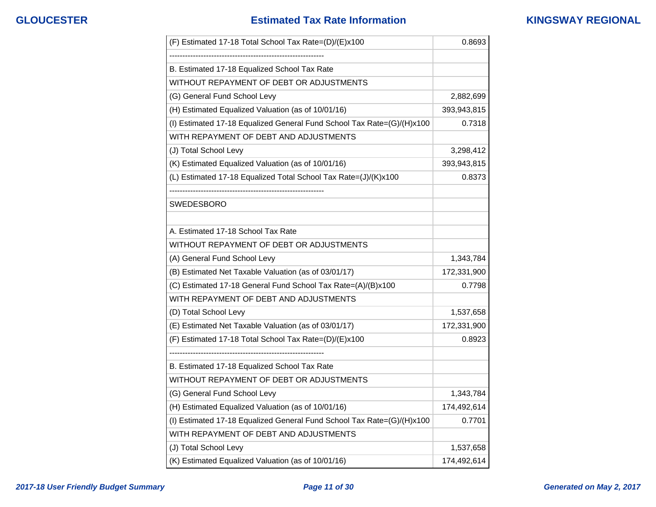## **GLOUCESTER Estimated Tax Rate Information KINGSWAY REGIONAL**

| (F) Estimated 17-18 Total School Tax Rate=(D)/(E)x100                  | 0.8693      |
|------------------------------------------------------------------------|-------------|
|                                                                        |             |
| B. Estimated 17-18 Equalized School Tax Rate                           |             |
| WITHOUT REPAYMENT OF DEBT OR ADJUSTMENTS                               |             |
| (G) General Fund School Levy                                           | 2,882,699   |
| (H) Estimated Equalized Valuation (as of 10/01/16)                     | 393,943,815 |
| (I) Estimated 17-18 Equalized General Fund School Tax Rate=(G)/(H)x100 | 0.7318      |
| WITH REPAYMENT OF DEBT AND ADJUSTMENTS                                 |             |
| (J) Total School Levy                                                  | 3,298,412   |
| (K) Estimated Equalized Valuation (as of 10/01/16)                     | 393,943,815 |
| (L) Estimated 17-18 Equalized Total School Tax Rate=(J)/(K)x100        | 0.8373      |
|                                                                        |             |
| <b>SWEDESBORO</b>                                                      |             |
| A. Estimated 17-18 School Tax Rate                                     |             |
| WITHOUT REPAYMENT OF DEBT OR ADJUSTMENTS                               |             |
| (A) General Fund School Levy                                           | 1,343,784   |
| (B) Estimated Net Taxable Valuation (as of 03/01/17)                   | 172,331,900 |
| (C) Estimated 17-18 General Fund School Tax Rate=(A)/(B)x100           | 0.7798      |
| WITH REPAYMENT OF DEBT AND ADJUSTMENTS                                 |             |
| (D) Total School Levy                                                  | 1,537,658   |
| (E) Estimated Net Taxable Valuation (as of 03/01/17)                   | 172,331,900 |
| (F) Estimated 17-18 Total School Tax Rate=(D)/(E)x100                  | 0.8923      |
|                                                                        |             |
| B. Estimated 17-18 Equalized School Tax Rate                           |             |
| WITHOUT REPAYMENT OF DEBT OR ADJUSTMENTS                               |             |
| (G) General Fund School Levy                                           | 1,343,784   |
| (H) Estimated Equalized Valuation (as of 10/01/16)                     | 174,492,614 |
| (I) Estimated 17-18 Equalized General Fund School Tax Rate=(G)/(H)x100 | 0.7701      |
| WITH REPAYMENT OF DEBT AND ADJUSTMENTS                                 |             |
| (J) Total School Levy                                                  | 1,537,658   |
| (K) Estimated Equalized Valuation (as of 10/01/16)                     | 174,492,614 |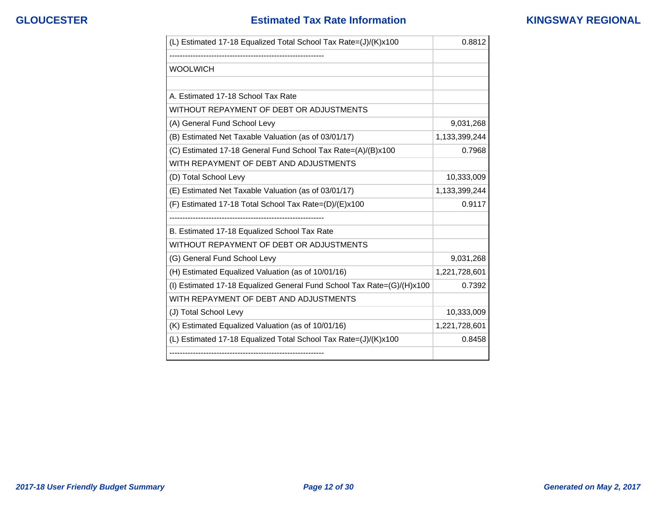| (L) Estimated 17-18 Equalized Total School Tax Rate=(J)/(K)x100        | 0.8812        |
|------------------------------------------------------------------------|---------------|
|                                                                        |               |
| <b>WOOLWICH</b>                                                        |               |
|                                                                        |               |
| A. Estimated 17-18 School Tax Rate                                     |               |
| WITHOUT REPAYMENT OF DEBT OR ADJUSTMENTS                               |               |
| (A) General Fund School Levy                                           | 9,031,268     |
| (B) Estimated Net Taxable Valuation (as of 03/01/17)                   | 1,133,399,244 |
| (C) Estimated 17-18 General Fund School Tax Rate=(A)/(B)x100           | 0.7968        |
| WITH REPAYMENT OF DEBT AND ADJUSTMENTS                                 |               |
| (D) Total School Levy                                                  | 10,333,009    |
| (E) Estimated Net Taxable Valuation (as of 03/01/17)                   | 1,133,399,244 |
| (F) Estimated 17-18 Total School Tax Rate=(D)/(E)x100                  | 0.9117        |
|                                                                        |               |
| B. Estimated 17-18 Equalized School Tax Rate                           |               |
| WITHOUT REPAYMENT OF DEBT OR ADJUSTMENTS                               |               |
| (G) General Fund School Levy                                           | 9,031,268     |
| (H) Estimated Equalized Valuation (as of 10/01/16)                     | 1,221,728,601 |
| (I) Estimated 17-18 Equalized General Fund School Tax Rate=(G)/(H)x100 | 0.7392        |
| WITH REPAYMENT OF DEBT AND ADJUSTMENTS                                 |               |
| (J) Total School Levy                                                  | 10,333,009    |
| (K) Estimated Equalized Valuation (as of 10/01/16)                     | 1,221,728,601 |
| (L) Estimated 17-18 Equalized Total School Tax Rate=(J)/(K)x100        | 0.8458        |
|                                                                        |               |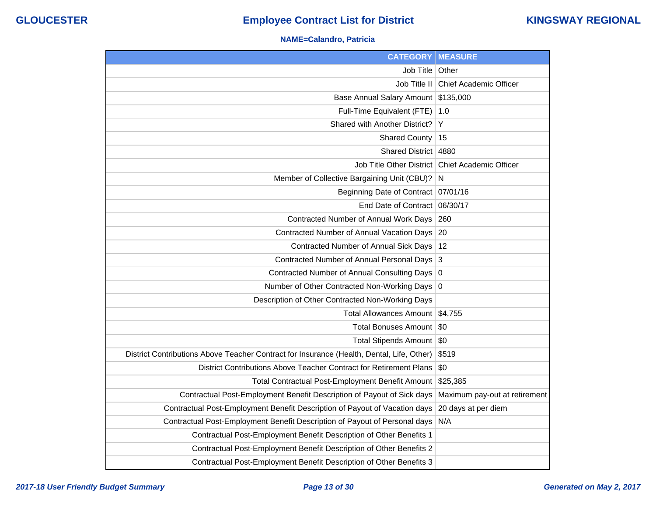### **NAME=Calandro, Patricia**

| <b>CATEGORY</b>                                                                           | <b>MEASURE</b>                |
|-------------------------------------------------------------------------------------------|-------------------------------|
| Job Title                                                                                 | Other                         |
| Job Title II                                                                              | <b>Chief Academic Officer</b> |
| <b>Base Annual Salary Amount</b>                                                          | \$135,000                     |
| Full-Time Equivalent (FTE)                                                                | 1.0                           |
| Shared with Another District?                                                             | Υ                             |
| <b>Shared County</b>                                                                      | 15                            |
| <b>Shared District</b>                                                                    | 4880                          |
| <b>Job Title Other District</b>                                                           | <b>Chief Academic Officer</b> |
| Member of Collective Bargaining Unit (CBU)?                                               | $\mathsf{N}$                  |
| Beginning Date of Contract   07/01/16                                                     |                               |
| End Date of Contract                                                                      | 06/30/17                      |
| Contracted Number of Annual Work Days                                                     | 260                           |
| Contracted Number of Annual Vacation Days                                                 | 20                            |
| Contracted Number of Annual Sick Days                                                     | -12                           |
| <b>Contracted Number of Annual Personal Days</b>                                          | 3                             |
| <b>Contracted Number of Annual Consulting Days</b>                                        | 0                             |
| Number of Other Contracted Non-Working Days                                               | 0                             |
| Description of Other Contracted Non-Working Days                                          |                               |
| <b>Total Allowances Amount</b>                                                            | \$4,755                       |
| <b>Total Bonuses Amount</b>                                                               | \$0                           |
| Total Stipends Amount   \$0                                                               |                               |
| District Contributions Above Teacher Contract for Insurance (Health, Dental, Life, Other) | \$519                         |
| District Contributions Above Teacher Contract for Retirement Plans                        | \$0                           |
| Total Contractual Post-Employment Benefit Amount                                          | \$25,385                      |
| Contractual Post-Employment Benefit Description of Payout of Sick days                    | Maximum pay-out at retirement |
| Contractual Post-Employment Benefit Description of Payout of Vacation days                | 20 days at per diem           |
| Contractual Post-Employment Benefit Description of Payout of Personal days                | N/A                           |
| Contractual Post-Employment Benefit Description of Other Benefits 1                       |                               |
| Contractual Post-Employment Benefit Description of Other Benefits 2                       |                               |
| Contractual Post-Employment Benefit Description of Other Benefits 3                       |                               |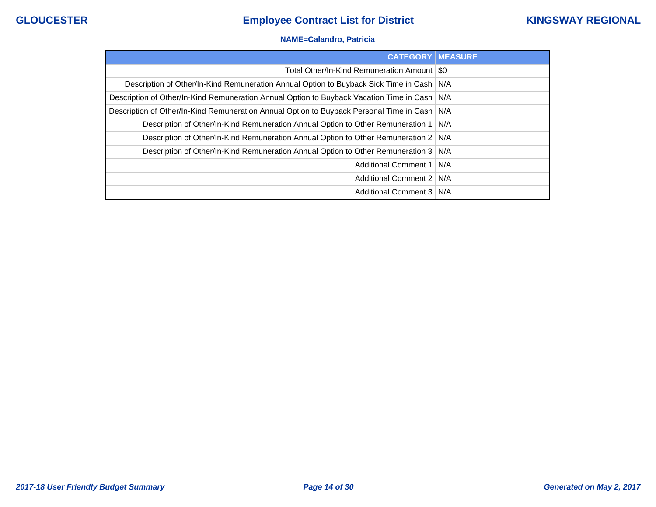### **NAME=Calandro, Patricia**

| <b>CATEGORY MEASURE</b>                                                                        |       |
|------------------------------------------------------------------------------------------------|-------|
| Total Other/In-Kind Remuneration Amount   \$0                                                  |       |
| Description of Other/In-Kind Remuneration Annual Option to Buyback Sick Time in Cash   N/A     |       |
| Description of Other/In-Kind Remuneration Annual Option to Buyback Vacation Time in Cash   N/A |       |
| Description of Other/In-Kind Remuneration Annual Option to Buyback Personal Time in Cash   N/A |       |
| Description of Other/In-Kind Remuneration Annual Option to Other Remuneration 1   N/A          |       |
| Description of Other/In-Kind Remuneration Annual Option to Other Remuneration 2                | N/A   |
| Description of Other/In-Kind Remuneration Annual Option to Other Remuneration 3                | I N/A |
| Additional Comment 1   N/A                                                                     |       |
| Additional Comment 2                                                                           | N/A   |
| Additional Comment 3   N/A                                                                     |       |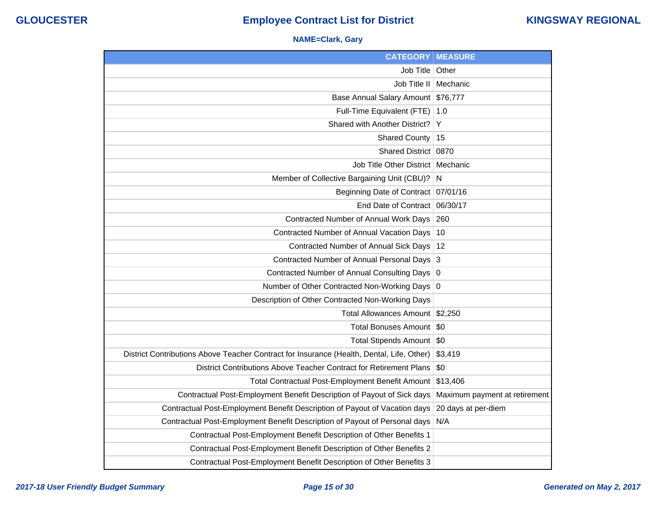### **NAME=Clark, Gary**

| <b>CATEGORY</b>                                                                           | <b>MEASURE</b>                |
|-------------------------------------------------------------------------------------------|-------------------------------|
| Job Title                                                                                 | Other                         |
| Job Title II                                                                              | Mechanic                      |
| Base Annual Salary Amount                                                                 | \$76,777                      |
| Full-Time Equivalent (FTE)                                                                | 1.0                           |
| Shared with Another District?                                                             | Y                             |
| <b>Shared County</b>                                                                      | 15                            |
| Shared District                                                                           | 0870                          |
| Job Title Other District   Mechanic                                                       |                               |
| Member of Collective Bargaining Unit (CBU)?                                               | N                             |
| Beginning Date of Contract                                                                | 07/01/16                      |
| End Date of Contract                                                                      | 06/30/17                      |
| Contracted Number of Annual Work Days                                                     | 260                           |
| Contracted Number of Annual Vacation Days                                                 | 10                            |
| Contracted Number of Annual Sick Days                                                     | 12                            |
| Contracted Number of Annual Personal Days                                                 | 3                             |
| Contracted Number of Annual Consulting Days                                               | 0                             |
| Number of Other Contracted Non-Working Days 0                                             |                               |
| Description of Other Contracted Non-Working Days                                          |                               |
| Total Allowances Amount                                                                   | \$2,250                       |
| <b>Total Bonuses Amount</b>                                                               | \$0                           |
| Total Stipends Amount                                                                     | \$0                           |
| District Contributions Above Teacher Contract for Insurance (Health, Dental, Life, Other) | \$3,419                       |
| District Contributions Above Teacher Contract for Retirement Plans                        | \$0                           |
| Total Contractual Post-Employment Benefit Amount                                          | \$13,406                      |
| Contractual Post-Employment Benefit Description of Payout of Sick days                    | Maximum payment at retirement |
| Contractual Post-Employment Benefit Description of Payout of Vacation days                | 20 days at per-diem           |
| Contractual Post-Employment Benefit Description of Payout of Personal days                | N/A                           |
| Contractual Post-Employment Benefit Description of Other Benefits 1                       |                               |
| Contractual Post-Employment Benefit Description of Other Benefits 2                       |                               |
| Contractual Post-Employment Benefit Description of Other Benefits 3                       |                               |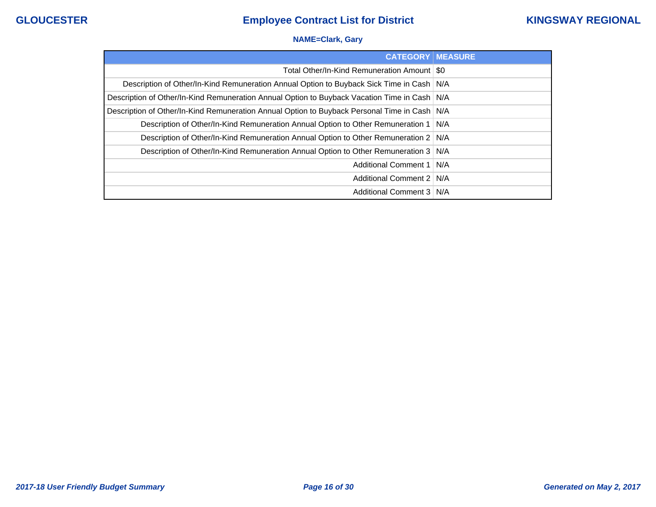### **NAME=Clark, Gary**

| <b>CATEGORY   MEASURE</b>                                                                      |  |
|------------------------------------------------------------------------------------------------|--|
| Total Other/In-Kind Remuneration Amount   \$0                                                  |  |
| Description of Other/In-Kind Remuneration Annual Option to Buyback Sick Time in Cash   N/A     |  |
| Description of Other/In-Kind Remuneration Annual Option to Buyback Vacation Time in Cash   N/A |  |
| Description of Other/In-Kind Remuneration Annual Option to Buyback Personal Time in Cash   N/A |  |
| Description of Other/In-Kind Remuneration Annual Option to Other Remuneration 1   N/A          |  |
| Description of Other/In-Kind Remuneration Annual Option to Other Remuneration 2   N/A          |  |
| Description of Other/In-Kind Remuneration Annual Option to Other Remuneration 3   N/A          |  |
| Additional Comment 1   N/A                                                                     |  |
| Additional Comment 2   N/A                                                                     |  |
| Additional Comment 3   N/A                                                                     |  |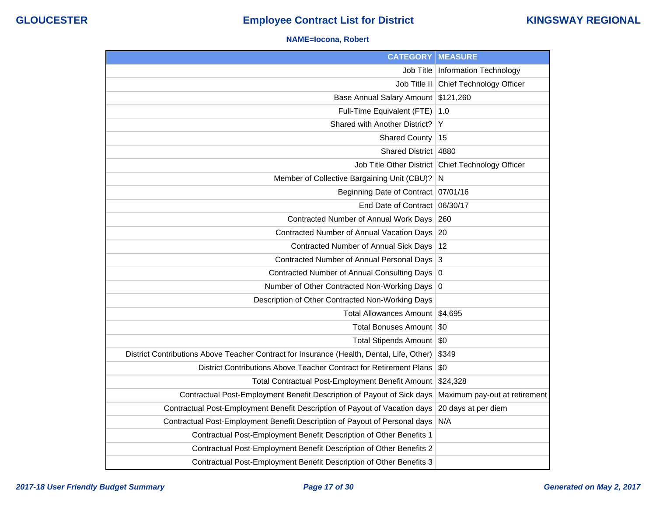### **NAME=Iocona, Robert**

| <b>CATEGORY</b>                                                                           | <b>MEASURE</b>                  |
|-------------------------------------------------------------------------------------------|---------------------------------|
| Job Title                                                                                 | <b>Information Technology</b>   |
| Job Title II                                                                              | Chief Technology Officer        |
| <b>Base Annual Salary Amount</b>                                                          | \$121,260                       |
| Full-Time Equivalent (FTE)                                                                | 1.0                             |
| Shared with Another District?                                                             | Y                               |
| <b>Shared County</b>                                                                      | 15                              |
| <b>Shared District</b>                                                                    | 4880                            |
| <b>Job Title Other District</b>                                                           | <b>Chief Technology Officer</b> |
| Member of Collective Bargaining Unit (CBU)?                                               | $\mathsf{N}$                    |
| Beginning Date of Contract                                                                | 07/01/16                        |
| End Date of Contract                                                                      | 06/30/17                        |
| Contracted Number of Annual Work Days                                                     | 260                             |
| Contracted Number of Annual Vacation Days                                                 | 20                              |
| Contracted Number of Annual Sick Days                                                     | 12                              |
| <b>Contracted Number of Annual Personal Days</b>                                          | $\overline{3}$                  |
| Contracted Number of Annual Consulting Days                                               | 0                               |
| Number of Other Contracted Non-Working Days                                               | 0                               |
| Description of Other Contracted Non-Working Days                                          |                                 |
| <b>Total Allowances Amount</b>                                                            | \$4,695                         |
| <b>Total Bonuses Amount</b>                                                               | \$0                             |
| Total Stipends Amount                                                                     | \$0                             |
| District Contributions Above Teacher Contract for Insurance (Health, Dental, Life, Other) | \$349                           |
| District Contributions Above Teacher Contract for Retirement Plans                        | \$0                             |
| Total Contractual Post-Employment Benefit Amount                                          | \$24,328                        |
| Contractual Post-Employment Benefit Description of Payout of Sick days                    | Maximum pay-out at retirement   |
| Contractual Post-Employment Benefit Description of Payout of Vacation days                | 20 days at per diem             |
| Contractual Post-Employment Benefit Description of Payout of Personal days                | N/A                             |
| Contractual Post-Employment Benefit Description of Other Benefits 1                       |                                 |
| Contractual Post-Employment Benefit Description of Other Benefits 2                       |                                 |
| Contractual Post-Employment Benefit Description of Other Benefits 3                       |                                 |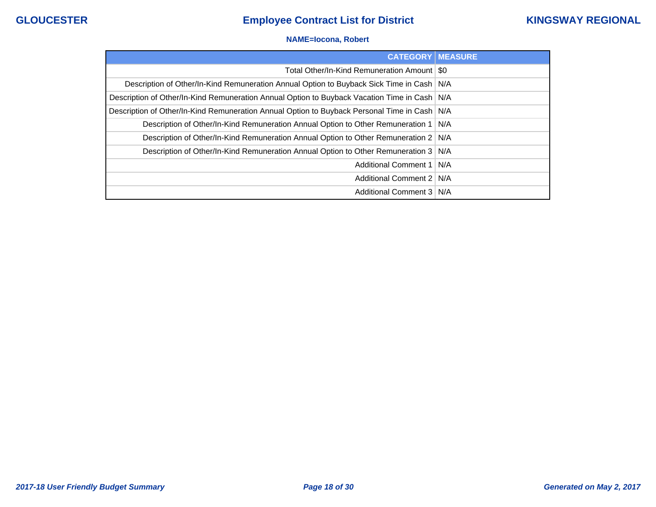### **NAME=Iocona, Robert**

| <b>CATEGORY   MEASURE</b>                                                                      |       |
|------------------------------------------------------------------------------------------------|-------|
| Total Other/In-Kind Remuneration Amount   \$0                                                  |       |
| Description of Other/In-Kind Remuneration Annual Option to Buyback Sick Time in Cash   N/A     |       |
| Description of Other/In-Kind Remuneration Annual Option to Buyback Vacation Time in Cash   N/A |       |
| Description of Other/In-Kind Remuneration Annual Option to Buyback Personal Time in Cash   N/A |       |
| Description of Other/In-Kind Remuneration Annual Option to Other Remuneration 1   N/A          |       |
| Description of Other/In-Kind Remuneration Annual Option to Other Remuneration 2 N/A            |       |
| Description of Other/In-Kind Remuneration Annual Option to Other Remuneration 3                | ∣ N/A |
| Additional Comment 1   N/A                                                                     |       |
| Additional Comment 2                                                                           | N/A   |
| Additional Comment 3   N/A                                                                     |       |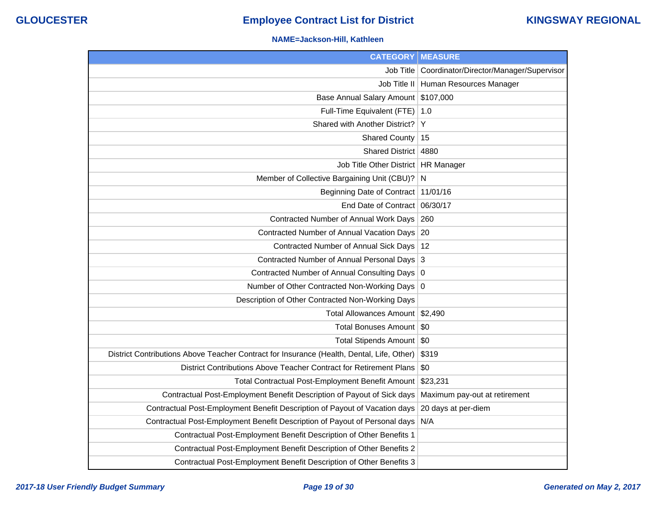### **NAME=Jackson-Hill, Kathleen**

| <b>CATEGORY   MEASURE</b>                                                                 |                                                     |
|-------------------------------------------------------------------------------------------|-----------------------------------------------------|
|                                                                                           | Job Title   Coordinator/Director/Manager/Supervisor |
|                                                                                           | Job Title II   Human Resources Manager              |
| Base Annual Salary Amount \$107,000                                                       |                                                     |
| Full-Time Equivalent (FTE)                                                                | 1.0                                                 |
| Shared with Another District?                                                             | Y                                                   |
| <b>Shared County</b>                                                                      | 15                                                  |
| Shared District   4880                                                                    |                                                     |
| Job Title Other District   HR Manager                                                     |                                                     |
| Member of Collective Bargaining Unit (CBU)?                                               | N                                                   |
| Beginning Date of Contract 11/01/16                                                       |                                                     |
| End Date of Contract 06/30/17                                                             |                                                     |
| Contracted Number of Annual Work Days   260                                               |                                                     |
| Contracted Number of Annual Vacation Days 20                                              |                                                     |
| Contracted Number of Annual Sick Days   12                                                |                                                     |
| Contracted Number of Annual Personal Days 3                                               |                                                     |
| Contracted Number of Annual Consulting Days 0                                             |                                                     |
| Number of Other Contracted Non-Working Days 0                                             |                                                     |
| Description of Other Contracted Non-Working Days                                          |                                                     |
| Total Allowances Amount \$2,490                                                           |                                                     |
| Total Bonuses Amount   \$0                                                                |                                                     |
| Total Stipends Amount   \$0                                                               |                                                     |
| District Contributions Above Teacher Contract for Insurance (Health, Dental, Life, Other) | \$319                                               |
| District Contributions Above Teacher Contract for Retirement Plans                        | \$0                                                 |
| Total Contractual Post-Employment Benefit Amount   \$23,231                               |                                                     |
| Contractual Post-Employment Benefit Description of Payout of Sick days                    | Maximum pay-out at retirement                       |
| Contractual Post-Employment Benefit Description of Payout of Vacation days                | 20 days at per-diem                                 |
| Contractual Post-Employment Benefit Description of Payout of Personal days N/A            |                                                     |
| Contractual Post-Employment Benefit Description of Other Benefits 1                       |                                                     |
| Contractual Post-Employment Benefit Description of Other Benefits 2                       |                                                     |
| Contractual Post-Employment Benefit Description of Other Benefits 3                       |                                                     |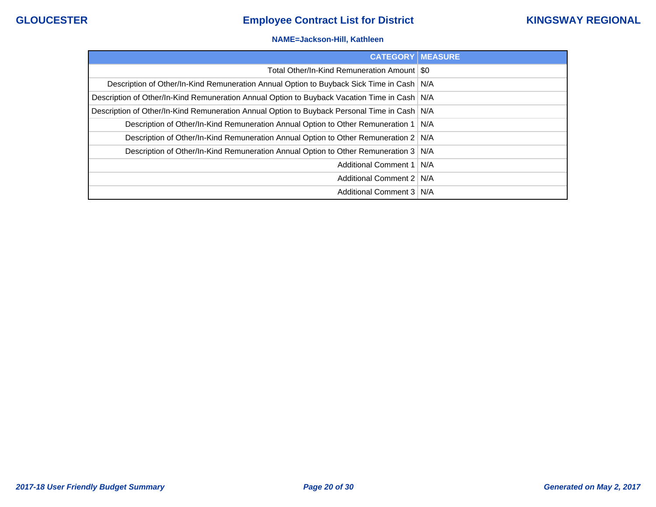### **NAME=Jackson-Hill, Kathleen**

| <b>CATEGORY   MEASURE</b>                                                                      |     |
|------------------------------------------------------------------------------------------------|-----|
| Total Other/In-Kind Remuneration Amount   \$0                                                  |     |
| Description of Other/In-Kind Remuneration Annual Option to Buyback Sick Time in Cash   N/A     |     |
| Description of Other/In-Kind Remuneration Annual Option to Buyback Vacation Time in Cash   N/A |     |
| Description of Other/In-Kind Remuneration Annual Option to Buyback Personal Time in Cash   N/A |     |
| Description of Other/In-Kind Remuneration Annual Option to Other Remuneration 1                | N/A |
| Description of Other/In-Kind Remuneration Annual Option to Other Remuneration 2   N/A          |     |
| Description of Other/In-Kind Remuneration Annual Option to Other Remuneration 3   N/A          |     |
| Additional Comment 1   N/A                                                                     |     |
| Additional Comment 2   N/A                                                                     |     |
| Additional Comment 3   N/A                                                                     |     |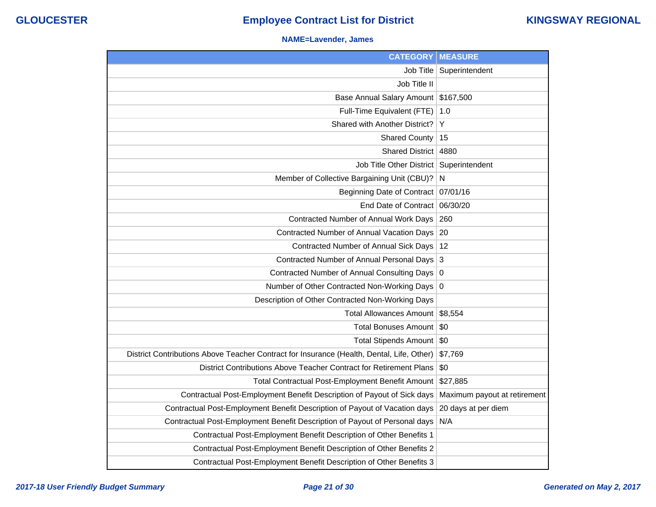### **NAME=Lavender, James**

| <b>CATEGORY   MEASURE</b>                                                                 |                              |
|-------------------------------------------------------------------------------------------|------------------------------|
| Job Title                                                                                 | Superintendent               |
| Job Title II                                                                              |                              |
| <b>Base Annual Salary Amount</b>                                                          | \$167,500                    |
| Full-Time Equivalent (FTE)                                                                | 1.0                          |
| Shared with Another District?                                                             | Y                            |
| <b>Shared County</b>                                                                      | 15                           |
| <b>Shared District</b>                                                                    | 4880                         |
| Job Title Other District                                                                  | Superintendent               |
| Member of Collective Bargaining Unit (CBU)?                                               | N                            |
| <b>Beginning Date of Contract</b>                                                         | 07/01/16                     |
| End Date of Contract                                                                      | 06/30/20                     |
| Contracted Number of Annual Work Days                                                     | 260                          |
| Contracted Number of Annual Vacation Days                                                 | 20                           |
| Contracted Number of Annual Sick Days                                                     | 12                           |
| Contracted Number of Annual Personal Days                                                 | 3                            |
| Contracted Number of Annual Consulting Days                                               | $\mathbf 0$                  |
| Number of Other Contracted Non-Working Days                                               | 0                            |
| Description of Other Contracted Non-Working Days                                          |                              |
| <b>Total Allowances Amount</b>                                                            | \$8,554                      |
| <b>Total Bonuses Amount</b>                                                               | \$0                          |
| Total Stipends Amount   \$0                                                               |                              |
| District Contributions Above Teacher Contract for Insurance (Health, Dental, Life, Other) | \$7,769                      |
| District Contributions Above Teacher Contract for Retirement Plans                        | \$0                          |
| Total Contractual Post-Employment Benefit Amount                                          | \$27,885                     |
| Contractual Post-Employment Benefit Description of Payout of Sick days                    | Maximum payout at retirement |
| Contractual Post-Employment Benefit Description of Payout of Vacation days                | 20 days at per diem          |
| Contractual Post-Employment Benefit Description of Payout of Personal days                | N/A                          |
| Contractual Post-Employment Benefit Description of Other Benefits 1                       |                              |
| Contractual Post-Employment Benefit Description of Other Benefits 2                       |                              |
| Contractual Post-Employment Benefit Description of Other Benefits 3                       |                              |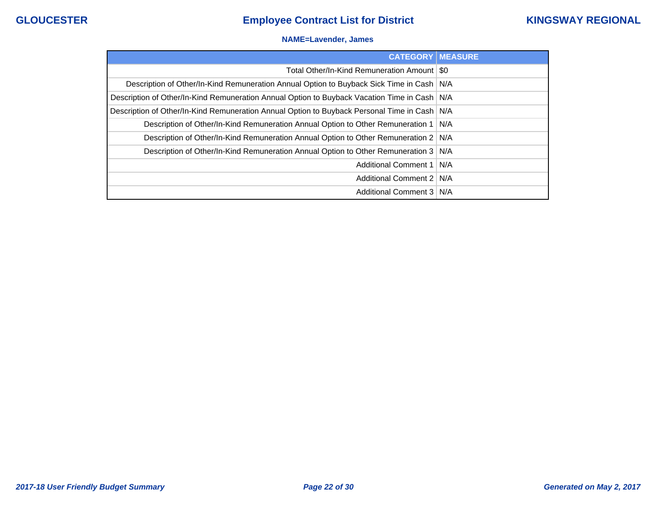### **NAME=Lavender, James**

| <b>CATEGORY   MEASURE</b>                                                                      |     |
|------------------------------------------------------------------------------------------------|-----|
| Total Other/In-Kind Remuneration Amount   \$0                                                  |     |
| Description of Other/In-Kind Remuneration Annual Option to Buyback Sick Time in Cash           | N/A |
| Description of Other/In-Kind Remuneration Annual Option to Buyback Vacation Time in Cash   N/A |     |
| Description of Other/In-Kind Remuneration Annual Option to Buyback Personal Time in Cash   N/A |     |
| Description of Other/In-Kind Remuneration Annual Option to Other Remuneration 1   N/A          |     |
| Description of Other/In-Kind Remuneration Annual Option to Other Remuneration 2   N/A          |     |
| Description of Other/In-Kind Remuneration Annual Option to Other Remuneration 3                | N/A |
| Additional Comment 1   N/A                                                                     |     |
| Additional Comment 2                                                                           | N/A |
| Additional Comment 3   N/A                                                                     |     |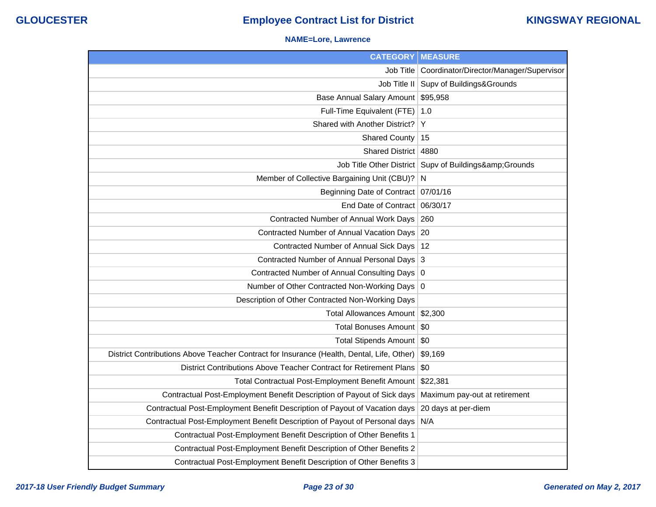### **NAME=Lore, Lawrence**

| <b>CATEGORY   MEASURE</b>                                                                 |                                                       |
|-------------------------------------------------------------------------------------------|-------------------------------------------------------|
| Job Title                                                                                 | Coordinator/Director/Manager/Supervisor               |
| Job Title II                                                                              | Supv of Buildings&Grounds                             |
| Base Annual Salary Amount                                                                 | \$95,958                                              |
| Full-Time Equivalent (FTE)                                                                | 1.0                                                   |
| Shared with Another District?                                                             | Y                                                     |
| <b>Shared County</b>                                                                      | 15                                                    |
| Shared District   4880                                                                    |                                                       |
|                                                                                           | Job Title Other District   Supv of Buildings& Grounds |
| Member of Collective Bargaining Unit (CBU)?                                               | N                                                     |
| Beginning Date of Contract 07/01/16                                                       |                                                       |
| End Date of Contract 06/30/17                                                             |                                                       |
| Contracted Number of Annual Work Days                                                     | 260                                                   |
| Contracted Number of Annual Vacation Days 20                                              |                                                       |
| Contracted Number of Annual Sick Days   12                                                |                                                       |
| Contracted Number of Annual Personal Days 3                                               |                                                       |
| Contracted Number of Annual Consulting Days 0                                             |                                                       |
| Number of Other Contracted Non-Working Days 0                                             |                                                       |
| Description of Other Contracted Non-Working Days                                          |                                                       |
| Total Allowances Amount \$2,300                                                           |                                                       |
| Total Bonuses Amount   \$0                                                                |                                                       |
| Total Stipends Amount   \$0                                                               |                                                       |
| District Contributions Above Teacher Contract for Insurance (Health, Dental, Life, Other) | \$9,169                                               |
| District Contributions Above Teacher Contract for Retirement Plans                        | \$0                                                   |
| Total Contractual Post-Employment Benefit Amount                                          | \$22,381                                              |
| Contractual Post-Employment Benefit Description of Payout of Sick days                    | Maximum pay-out at retirement                         |
| Contractual Post-Employment Benefit Description of Payout of Vacation days                | 20 days at per-diem                                   |
| Contractual Post-Employment Benefit Description of Payout of Personal days N/A            |                                                       |
| Contractual Post-Employment Benefit Description of Other Benefits 1                       |                                                       |
| Contractual Post-Employment Benefit Description of Other Benefits 2                       |                                                       |
| Contractual Post-Employment Benefit Description of Other Benefits 3                       |                                                       |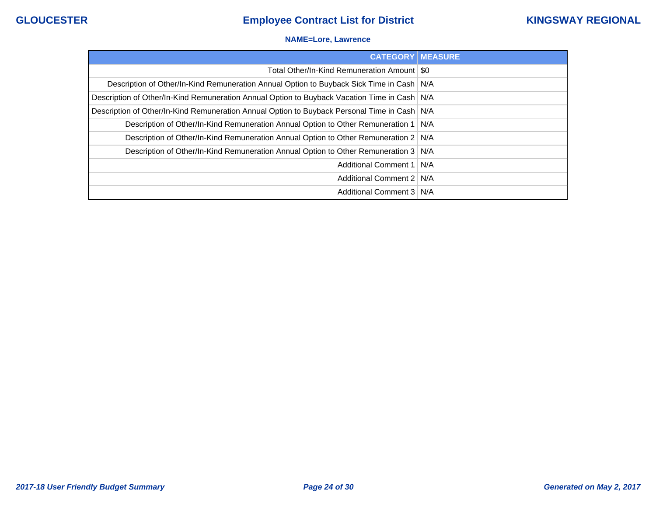### **NAME=Lore, Lawrence**

| <b>CATEGORY   MEASURE</b>                                                                      |  |
|------------------------------------------------------------------------------------------------|--|
| Total Other/In-Kind Remuneration Amount   \$0                                                  |  |
| Description of Other/In-Kind Remuneration Annual Option to Buyback Sick Time in Cash   N/A     |  |
| Description of Other/In-Kind Remuneration Annual Option to Buyback Vacation Time in Cash   N/A |  |
| Description of Other/In-Kind Remuneration Annual Option to Buyback Personal Time in Cash   N/A |  |
| Description of Other/In-Kind Remuneration Annual Option to Other Remuneration 1   N/A          |  |
| Description of Other/In-Kind Remuneration Annual Option to Other Remuneration 2   N/A          |  |
| Description of Other/In-Kind Remuneration Annual Option to Other Remuneration 3   N/A          |  |
| Additional Comment 1   N/A                                                                     |  |
| Additional Comment 2   N/A                                                                     |  |
| Additional Comment 3   N/A                                                                     |  |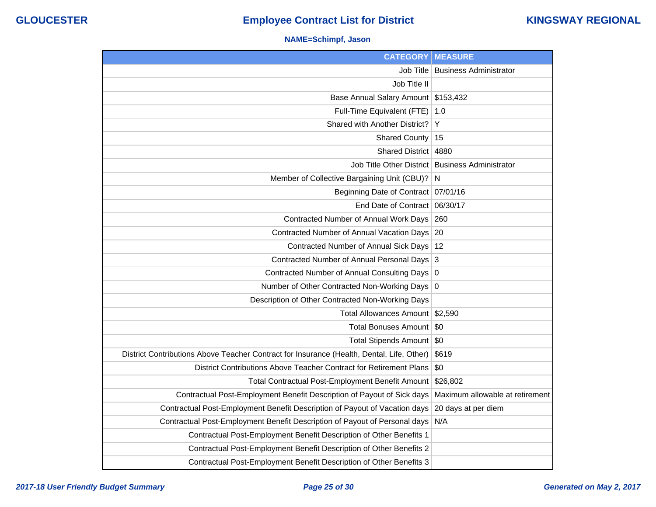### **NAME=Schimpf, Jason**

| <b>CATEGORY</b>                                                                           | <b>MEASURE</b>                  |
|-------------------------------------------------------------------------------------------|---------------------------------|
| Job Title                                                                                 | <b>Business Administrator</b>   |
| Job Title II                                                                              |                                 |
| Base Annual Salary Amount                                                                 | \$153,432                       |
| Full-Time Equivalent (FTE)                                                                | 1.0                             |
| Shared with Another District?                                                             | Y                               |
| <b>Shared County</b>                                                                      | 15                              |
| <b>Shared District</b>                                                                    | 4880                            |
| Job Title Other District                                                                  | <b>Business Administrator</b>   |
| Member of Collective Bargaining Unit (CBU)?                                               | N                               |
| Beginning Date of Contract                                                                | 07/01/16                        |
| End Date of Contract                                                                      | 06/30/17                        |
| Contracted Number of Annual Work Days                                                     | 260                             |
| Contracted Number of Annual Vacation Days                                                 | 20                              |
| Contracted Number of Annual Sick Days                                                     | 12                              |
| Contracted Number of Annual Personal Days                                                 | 3                               |
| Contracted Number of Annual Consulting Days 0                                             |                                 |
| Number of Other Contracted Non-Working Days                                               | 0                               |
| Description of Other Contracted Non-Working Days                                          |                                 |
| Total Allowances Amount   \$2,590                                                         |                                 |
| Total Bonuses Amount   \$0                                                                |                                 |
| Total Stipends Amount   \$0                                                               |                                 |
| District Contributions Above Teacher Contract for Insurance (Health, Dental, Life, Other) | \$619                           |
| District Contributions Above Teacher Contract for Retirement Plans                        | \$0                             |
| Total Contractual Post-Employment Benefit Amount                                          | \$26,802                        |
| Contractual Post-Employment Benefit Description of Payout of Sick days                    | Maximum allowable at retirement |
| Contractual Post-Employment Benefit Description of Payout of Vacation days                | 20 days at per diem             |
| Contractual Post-Employment Benefit Description of Payout of Personal days                | N/A                             |
| Contractual Post-Employment Benefit Description of Other Benefits 1                       |                                 |
| Contractual Post-Employment Benefit Description of Other Benefits 2                       |                                 |
| Contractual Post-Employment Benefit Description of Other Benefits 3                       |                                 |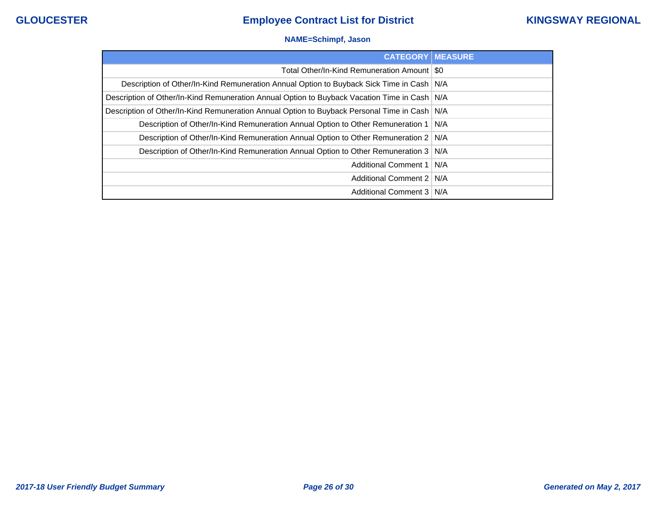### **NAME=Schimpf, Jason**

| <b>CATEGORY MEASURE</b>                                                                        |  |
|------------------------------------------------------------------------------------------------|--|
| Total Other/In-Kind Remuneration Amount   \$0                                                  |  |
| Description of Other/In-Kind Remuneration Annual Option to Buyback Sick Time in Cash   N/A     |  |
| Description of Other/In-Kind Remuneration Annual Option to Buyback Vacation Time in Cash   N/A |  |
| Description of Other/In-Kind Remuneration Annual Option to Buyback Personal Time in Cash   N/A |  |
| Description of Other/In-Kind Remuneration Annual Option to Other Remuneration 1   N/A          |  |
| Description of Other/In-Kind Remuneration Annual Option to Other Remuneration 2   N/A          |  |
| Description of Other/In-Kind Remuneration Annual Option to Other Remuneration 3   N/A          |  |
| Additional Comment 1   N/A                                                                     |  |
| Additional Comment 2   N/A                                                                     |  |
| Additional Comment 3   N/A                                                                     |  |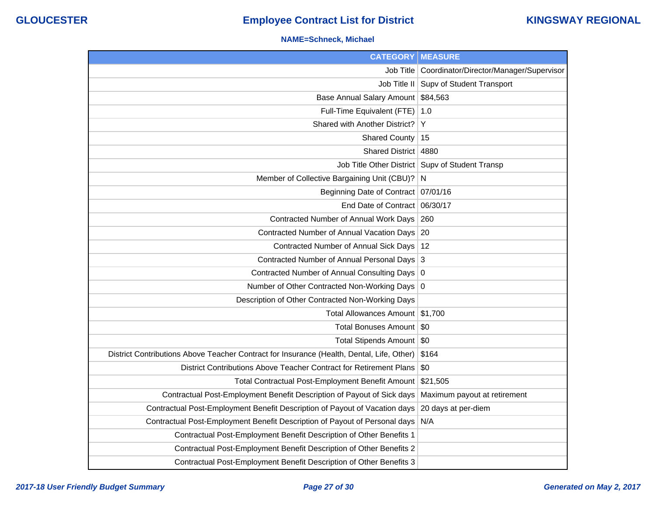### **NAME=Schneck, Michael**

| <b>CATEGORY   MEASURE</b>                                                                 |                                                   |
|-------------------------------------------------------------------------------------------|---------------------------------------------------|
| Job Title                                                                                 | Coordinator/Director/Manager/Supervisor           |
| Job Title II                                                                              | Supv of Student Transport                         |
| Base Annual Salary Amount                                                                 | \$84,563                                          |
| Full-Time Equivalent (FTE)                                                                | 1.0                                               |
| Shared with Another District?                                                             | Y                                                 |
| <b>Shared County</b>                                                                      | 15                                                |
| Shared District 4880                                                                      |                                                   |
|                                                                                           | Job Title Other District   Supv of Student Transp |
| Member of Collective Bargaining Unit (CBU)?                                               | N                                                 |
| Beginning Date of Contract   07/01/16                                                     |                                                   |
| End Date of Contract 06/30/17                                                             |                                                   |
| Contracted Number of Annual Work Days                                                     | 260                                               |
| Contracted Number of Annual Vacation Days 20                                              |                                                   |
| Contracted Number of Annual Sick Days   12                                                |                                                   |
| Contracted Number of Annual Personal Days 3                                               |                                                   |
| Contracted Number of Annual Consulting Days 0                                             |                                                   |
| Number of Other Contracted Non-Working Days 0                                             |                                                   |
| Description of Other Contracted Non-Working Days                                          |                                                   |
| Total Allowances Amount \$1,700                                                           |                                                   |
| Total Bonuses Amount                                                                      | \$0                                               |
| Total Stipends Amount   \$0                                                               |                                                   |
| District Contributions Above Teacher Contract for Insurance (Health, Dental, Life, Other) | \$164                                             |
| District Contributions Above Teacher Contract for Retirement Plans                        | \$0                                               |
| Total Contractual Post-Employment Benefit Amount                                          | \$21,505                                          |
| Contractual Post-Employment Benefit Description of Payout of Sick days                    | Maximum payout at retirement                      |
| Contractual Post-Employment Benefit Description of Payout of Vacation days                | 20 days at per-diem                               |
| Contractual Post-Employment Benefit Description of Payout of Personal days                | N/A                                               |
| Contractual Post-Employment Benefit Description of Other Benefits 1                       |                                                   |
| Contractual Post-Employment Benefit Description of Other Benefits 2                       |                                                   |
| Contractual Post-Employment Benefit Description of Other Benefits 3                       |                                                   |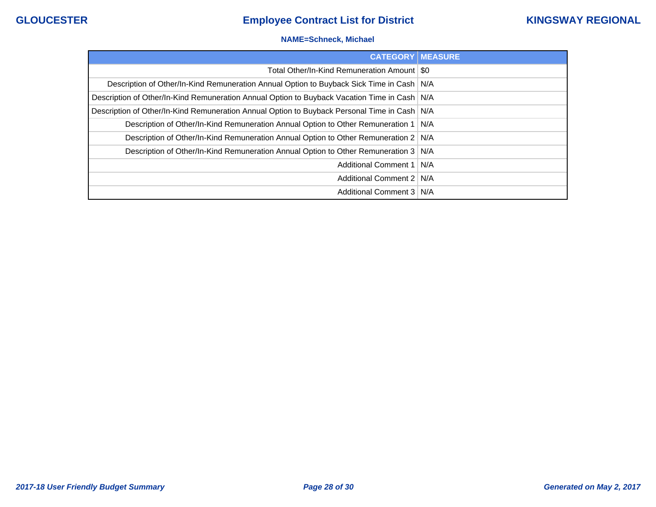### **NAME=Schneck, Michael**

| <b>CATEGORY   MEASURE</b>                                                                      |  |
|------------------------------------------------------------------------------------------------|--|
| Total Other/In-Kind Remuneration Amount   \$0                                                  |  |
| Description of Other/In-Kind Remuneration Annual Option to Buyback Sick Time in Cash   N/A     |  |
| Description of Other/In-Kind Remuneration Annual Option to Buyback Vacation Time in Cash   N/A |  |
| Description of Other/In-Kind Remuneration Annual Option to Buyback Personal Time in Cash   N/A |  |
| Description of Other/In-Kind Remuneration Annual Option to Other Remuneration 1   N/A          |  |
| Description of Other/In-Kind Remuneration Annual Option to Other Remuneration 2   N/A          |  |
| Description of Other/In-Kind Remuneration Annual Option to Other Remuneration 3 N/A            |  |
| Additional Comment 1   N/A                                                                     |  |
| Additional Comment 2   N/A                                                                     |  |
| Additional Comment 3   N/A                                                                     |  |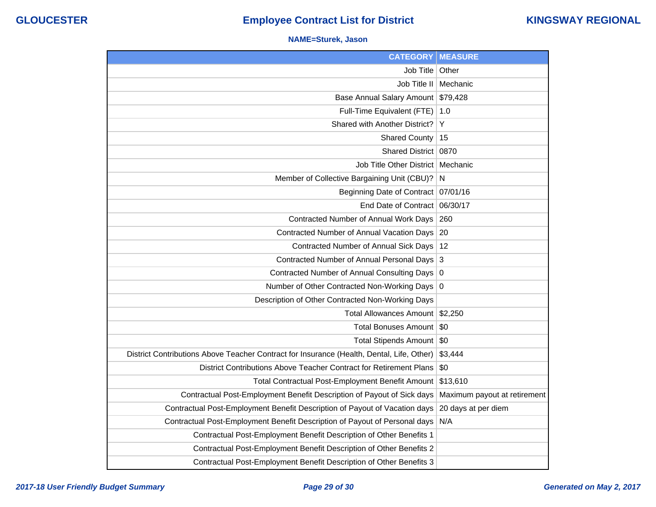### **NAME=Sturek, Jason**

| <b>CATEGORY   MEASURE</b>                                                                 |                              |
|-------------------------------------------------------------------------------------------|------------------------------|
| Job Title                                                                                 | Other                        |
| Job Title II                                                                              | Mechanic                     |
| <b>Base Annual Salary Amount</b>                                                          | \$79,428                     |
| Full-Time Equivalent (FTE)                                                                | 1.0                          |
| Shared with Another District?                                                             | Y                            |
| <b>Shared County</b>                                                                      | 15                           |
| <b>Shared District</b>                                                                    | 0870                         |
| Job Title Other District                                                                  | Mechanic                     |
| Member of Collective Bargaining Unit (CBU)?                                               | N                            |
| Beginning Date of Contract   07/01/16                                                     |                              |
| End Date of Contract                                                                      | 06/30/17                     |
| Contracted Number of Annual Work Days                                                     | 260                          |
| Contracted Number of Annual Vacation Days                                                 | 20                           |
| Contracted Number of Annual Sick Days                                                     | 12                           |
| Contracted Number of Annual Personal Days                                                 | 3                            |
| Contracted Number of Annual Consulting Days                                               | $\overline{0}$               |
| Number of Other Contracted Non-Working Days                                               | 0                            |
| Description of Other Contracted Non-Working Days                                          |                              |
| <b>Total Allowances Amount</b>                                                            | \$2,250                      |
| <b>Total Bonuses Amount</b>                                                               | \$0                          |
| Total Stipends Amount   \$0                                                               |                              |
| District Contributions Above Teacher Contract for Insurance (Health, Dental, Life, Other) | \$3,444                      |
| District Contributions Above Teacher Contract for Retirement Plans                        | \$0                          |
| Total Contractual Post-Employment Benefit Amount                                          | \$13,610                     |
| Contractual Post-Employment Benefit Description of Payout of Sick days                    | Maximum payout at retirement |
| Contractual Post-Employment Benefit Description of Payout of Vacation days                | 20 days at per diem          |
| Contractual Post-Employment Benefit Description of Payout of Personal days                | N/A                          |
| Contractual Post-Employment Benefit Description of Other Benefits 1                       |                              |
| Contractual Post-Employment Benefit Description of Other Benefits 2                       |                              |
| Contractual Post-Employment Benefit Description of Other Benefits 3                       |                              |